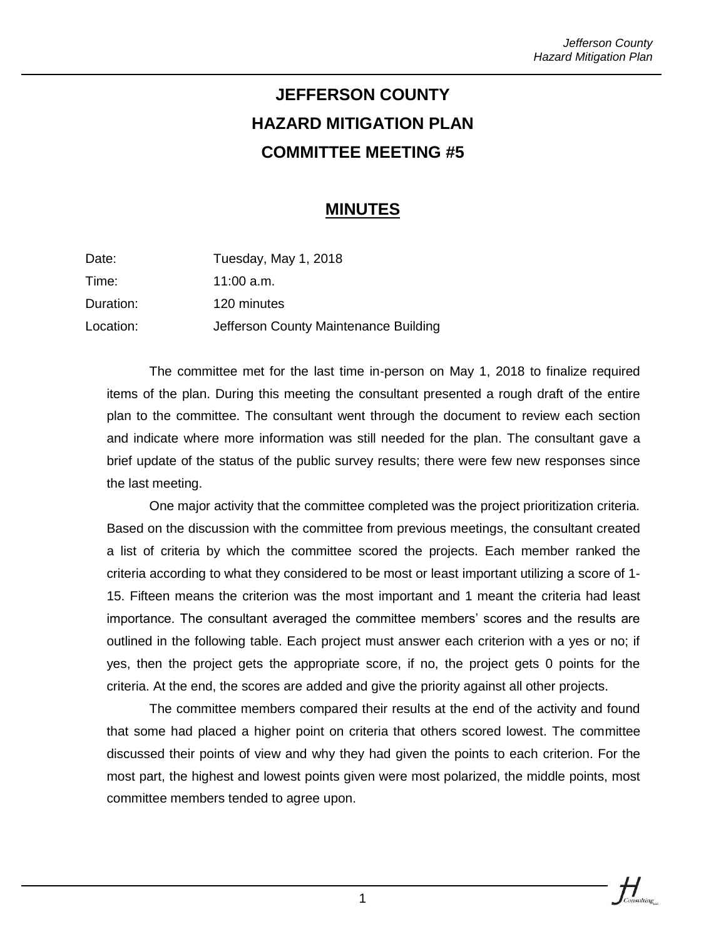## **JEFFERSON COUNTY HAZARD MITIGATION PLAN COMMITTEE MEETING #5**

## **MINUTES**

| Date:     | Tuesday, May 1, 2018                  |
|-----------|---------------------------------------|
| Time:     | 11:00 $a.m.$                          |
| Duration: | 120 minutes                           |
| Location: | Jefferson County Maintenance Building |

The committee met for the last time in-person on May 1, 2018 to finalize required items of the plan. During this meeting the consultant presented a rough draft of the entire plan to the committee. The consultant went through the document to review each section and indicate where more information was still needed for the plan. The consultant gave a brief update of the status of the public survey results; there were few new responses since the last meeting.

One major activity that the committee completed was the project prioritization criteria. Based on the discussion with the committee from previous meetings, the consultant created a list of criteria by which the committee scored the projects. Each member ranked the criteria according to what they considered to be most or least important utilizing a score of 1- 15. Fifteen means the criterion was the most important and 1 meant the criteria had least importance. The consultant averaged the committee members' scores and the results are outlined in the following table. Each project must answer each criterion with a yes or no; if yes, then the project gets the appropriate score, if no, the project gets 0 points for the criteria. At the end, the scores are added and give the priority against all other projects.

The committee members compared their results at the end of the activity and found that some had placed a higher point on criteria that others scored lowest. The committee discussed their points of view and why they had given the points to each criterion. For the most part, the highest and lowest points given were most polarized, the middle points, most committee members tended to agree upon.

 $\frac{1}{\sqrt{2}}$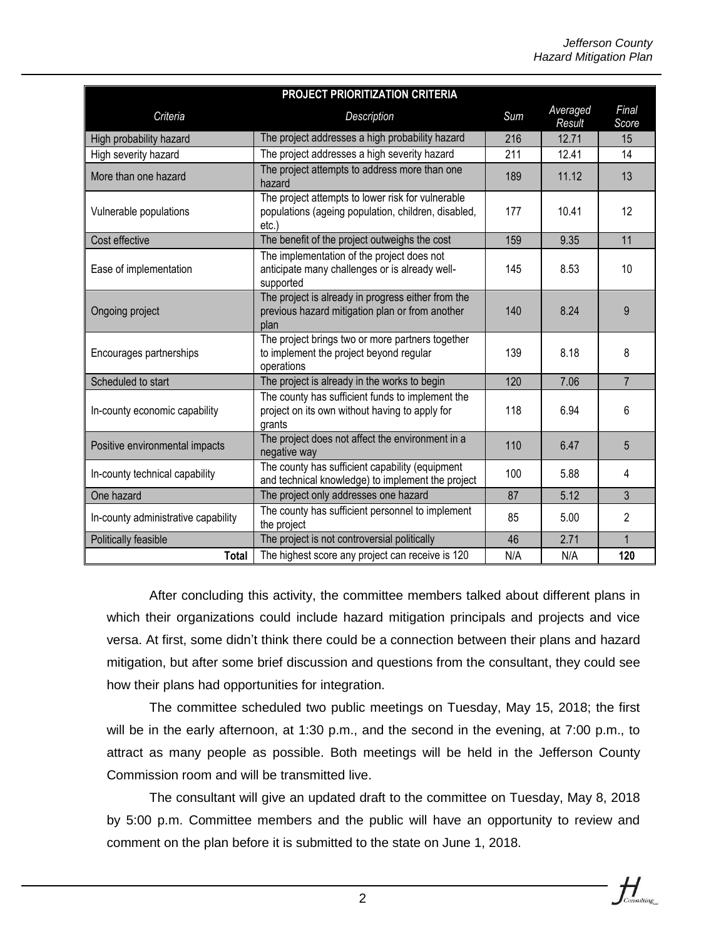| PROJECT PRIORITIZATION CRITERIA     |                                                                                                                      |     |                    |                |  |
|-------------------------------------|----------------------------------------------------------------------------------------------------------------------|-----|--------------------|----------------|--|
| Criteria                            | Description                                                                                                          | Sum | Averaged<br>Result | Final<br>Score |  |
| High probability hazard             | The project addresses a high probability hazard                                                                      | 216 | 12.71              | 15             |  |
| High severity hazard                | The project addresses a high severity hazard                                                                         | 211 | 12.41              | 14             |  |
| More than one hazard                | The project attempts to address more than one<br>hazard                                                              | 189 | 11.12              | 13             |  |
| Vulnerable populations              | The project attempts to lower risk for vulnerable<br>populations (ageing population, children, disabled,<br>$etc.$ ) | 177 | 10.41              | 12             |  |
| Cost effective                      | The benefit of the project outweighs the cost                                                                        | 159 | 9.35               | 11             |  |
| Ease of implementation              | The implementation of the project does not<br>anticipate many challenges or is already well-<br>supported            | 145 | 8.53               | 10             |  |
| Ongoing project                     | The project is already in progress either from the<br>previous hazard mitigation plan or from another<br>plan        | 140 | 8.24               | 9              |  |
| Encourages partnerships             | The project brings two or more partners together<br>to implement the project beyond regular<br>operations            | 139 | 8.18               | 8              |  |
| Scheduled to start                  | The project is already in the works to begin                                                                         | 120 | 7.06               | $\overline{7}$ |  |
| In-county economic capability       | The county has sufficient funds to implement the<br>project on its own without having to apply for<br>grants         | 118 | 6.94               | 6              |  |
| Positive environmental impacts      | The project does not affect the environment in a<br>negative way                                                     | 110 | 6.47               | 5              |  |
| In-county technical capability      | The county has sufficient capability (equipment<br>and technical knowledge) to implement the project                 | 100 | 5.88               | 4              |  |
| One hazard                          | The project only addresses one hazard                                                                                | 87  | 5.12               | 3              |  |
| In-county administrative capability | The county has sufficient personnel to implement<br>the project                                                      | 85  | 5.00               | $\overline{2}$ |  |
| Politically feasible                | The project is not controversial politically                                                                         | 46  | 2.71               | $\mathbf{1}$   |  |
| <b>Total</b>                        | The highest score any project can receive is 120                                                                     | N/A | N/A                | 120            |  |

After concluding this activity, the committee members talked about different plans in which their organizations could include hazard mitigation principals and projects and vice versa. At first, some didn't think there could be a connection between their plans and hazard mitigation, but after some brief discussion and questions from the consultant, they could see how their plans had opportunities for integration.

The committee scheduled two public meetings on Tuesday, May 15, 2018; the first will be in the early afternoon, at 1:30 p.m., and the second in the evening, at 7:00 p.m., to attract as many people as possible. Both meetings will be held in the Jefferson County Commission room and will be transmitted live.

The consultant will give an updated draft to the committee on Tuesday, May 8, 2018 by 5:00 p.m. Committee members and the public will have an opportunity to review and comment on the plan before it is submitted to the state on June 1, 2018.